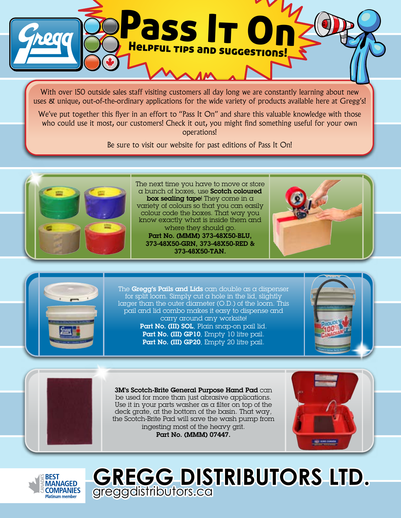

With over 150 outside sales staff visiting customers all day long we are constantly learning about new uses & unique, out-of-the-ordinary applications for the wide variety of products available here at Gregg's!

We've put together this flyer in an effort to "Pass It On" and share this valuable knowledge with those who could use it most, our customers! Check it out, you might find something useful for your own operations!

Be sure to visit our website for past editions of Pass It On!



The next time you have to move or store a bunch of boxes, use Scotch coloured box sealing tape! They come in  $\alpha$ variety of colours so that you can easily colour code the boxes. That way you know exactly what is inside them and where they should go. Part No. (MMM) 373-48X50-BLU, 373-48X50-GRN, 373-48X50-RED &





The Gregg's Pails and Lids can double as a dispenser for split loom. Simply cut a hole in the lid, slightly larger than the outer diameter (O.D.) of the loom. This pail and lid combo makes it easy to dispense and carry around any worksite! Part No. (III) SOL, Plain snap-on pail lid. Part No. (III) GP10, Empty 10 litre pail. Part No. (III) GP20, Empty 20 litre pail.



3M's Scotch-Brite General Purpose Hand Pad can be used for more than just abrasive applications. Use it in your parts washer as a filter on top of the deck grate, at the bottom of the basin. That way, the Scotch-Brite Pad will save the wash pump from ingesting most of the heavy grit. Part No. (MMM) 07447.





**GREGG DISTRIBUTORS LTD.** greggdistributors.ca